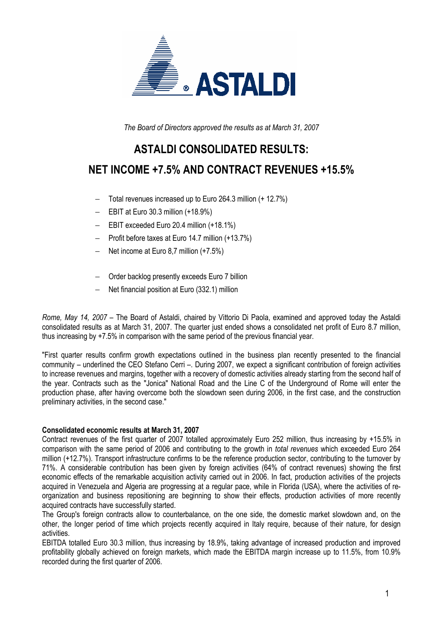

The Board of Directors approved the results as at March 31, 2007

# ASTALDI CONSOLIDATED RESULTS:

# NET INCOME +7.5% AND CONTRACT REVENUES +15.5%

- − Total revenues increased up to Euro 264.3 million (+ 12.7%)
- − EBIT at Euro 30.3 million (+18.9%)
- − EBIT exceeded Euro 20.4 million (+18.1%)
- − Profit before taxes at Euro 14.7 million (+13.7%)
- − Net income at Euro 8,7 million (+7.5%)
- − Order backlog presently exceeds Euro 7 billion
- − Net financial position at Euro (332.1) million

Rome, May 14, 2007 – The Board of Astaldi, chaired by Vittorio Di Paola, examined and approved today the Astaldi consolidated results as at March 31, 2007. The quarter just ended shows a consolidated net profit of Euro 8.7 million, thus increasing by +7.5% in comparison with the same period of the previous financial year.

"First quarter results confirm growth expectations outlined in the business plan recently presented to the financial community – underlined the CEO Stefano Cerri –. During 2007, we expect a significant contribution of foreign activities to increase revenues and margins, together with a recovery of domestic activities already starting from the second half of the year. Contracts such as the "Jonica" National Road and the Line C of the Underground of Rome will enter the production phase, after having overcome both the slowdown seen during 2006, in the first case, and the construction preliminary activities, in the second case."

#### Consolidated economic results at March 31, 2007

Contract revenues of the first quarter of 2007 totalled approximately Euro 252 million, thus increasing by +15.5% in comparison with the same period of 2006 and contributing to the growth in total revenues which exceeded Euro 264 million (+12.7%). Transport infrastructure confirms to be the reference production sector, contributing to the turnover by 71%. A considerable contribution has been given by foreign activities (64% of contract revenues) showing the first economic effects of the remarkable acquisition activity carried out in 2006. In fact, production activities of the projects acquired in Venezuela and Algeria are progressing at a regular pace, while in Florida (USA), where the activities of reorganization and business repositioning are beginning to show their effects, production activities of more recently acquired contracts have successfully started.

The Group's foreign contracts allow to counterbalance, on the one side, the domestic market slowdown and, on the other, the longer period of time which projects recently acquired in Italy require, because of their nature, for design activities.

EBITDA totalled Euro 30.3 million, thus increasing by 18.9%, taking advantage of increased production and improved profitability globally achieved on foreign markets, which made the EBITDA margin increase up to 11.5%, from 10.9% recorded during the first quarter of 2006.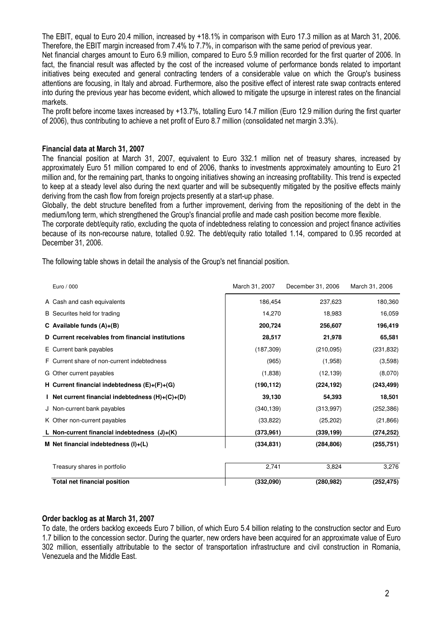The EBIT, equal to Euro 20.4 million, increased by +18.1% in comparison with Euro 17.3 million as at March 31, 2006. Therefore, the EBIT margin increased from 7.4% to 7.7%, in comparison with the same period of previous year.

Net financial charges amount to Euro 6.9 million, compared to Euro 5.9 million recorded for the first quarter of 2006. In fact, the financial result was affected by the cost of the increased volume of performance bonds related to important initiatives being executed and general contracting tenders of a considerable value on which the Group's business attentions are focusing, in Italy and abroad. Furthermore, also the positive effect of interest rate swap contracts entered into during the previous year has become evident, which allowed to mitigate the upsurge in interest rates on the financial markets.

The profit before income taxes increased by +13.7%, totalling Euro 14.7 million (Euro 12.9 million during the first quarter of 2006), thus contributing to achieve a net profit of Euro 8.7 million (consolidated net margin 3.3%).

#### Financial data at March 31, 2007

The financial position at March 31, 2007, equivalent to Euro 332.1 million net of treasury shares, increased by approximately Euro 51 million compared to end of 2006, thanks to investments approximately amounting to Euro 21 million and, for the remaining part, thanks to ongoing initiatives showing an increasing profitability. This trend is expected to keep at a steady level also during the next quarter and will be subsequently mitigated by the positive effects mainly deriving from the cash flow from foreign projects presently at a start-up phase.

Globally, the debt structure benefited from a further improvement, deriving from the repositioning of the debt in the medium/long term, which strengthened the Group's financial profile and made cash position become more flexible.

The corporate debt/equity ratio, excluding the quota of indebtedness relating to concession and project finance activities because of its non-recourse nature, totalled 0.92. The debt/equity ratio totalled 1.14, compared to 0.95 recorded at December 31, 2006.

The following table shows in detail the analysis of the Group's net financial position.

| Euro / 000                                         | March 31, 2007 | December 31, 2006 | March 31, 2006 |
|----------------------------------------------------|----------------|-------------------|----------------|
| A Cash and cash equivalents                        | 186,454        | 237,623           | 180,360        |
| B Securites held for trading                       | 14,270         | 18,983            | 16,059         |
| C Available funds $(A)+(B)$                        | 200,724        | 256,607           | 196,419        |
| D Current receivables from financial institutions  | 28,517         | 21,978            | 65,581         |
| E Current bank payables                            | (187, 309)     | (210,095)         | (231, 832)     |
| F Current share of non-current indebtedness        | (965)          | (1,958)           | (3,598)        |
| G Other current payables                           | (1,838)        | (12, 139)         | (8,070)        |
| H Current financial indebtedness $(E)+(F)+(G)$     | (190, 112)     | (224, 192)        | (243, 499)     |
| I Net current financial indebtedness $(H)+(C)+(D)$ | 39,130         | 54,393            | 18,501         |
| J Non-current bank payables                        | (340, 139)     | (313,997)         | (252, 386)     |
| K Other non-current payables                       | (33, 822)      | (25, 202)         | (21, 866)      |
| L Non-current financial indebtedness (J)+(K)       | (373,961)      | (339, 199)        | (274, 252)     |
| M Net financial indebtedness $(I)+(L)$             | (334, 831)     | (284, 806)        | (255, 751)     |
|                                                    |                |                   |                |
| Treasury shares in portfolio                       | 2,741          | 3,824             | 3,276          |
| <b>Total net financial position</b>                | (332,090)      | (280, 982)        | (252, 475)     |

#### Order backlog as at March 31, 2007

To date, the orders backlog exceeds Euro 7 billion, of which Euro 5.4 billion relating to the construction sector and Euro 1.7 billion to the concession sector. During the quarter, new orders have been acquired for an approximate value of Euro 302 million, essentially attributable to the sector of transportation infrastructure and civil construction in Romania, Venezuela and the Middle East.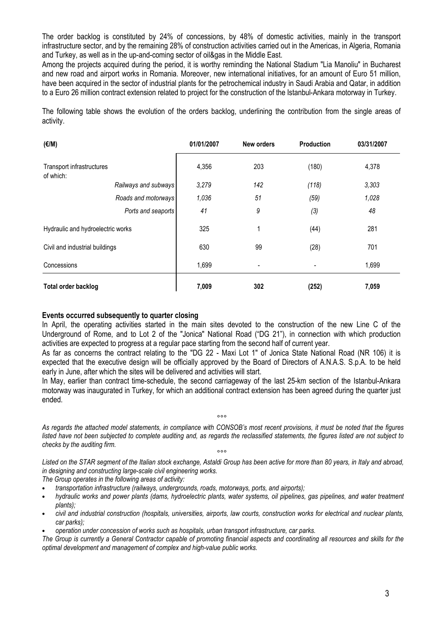The order backlog is constituted by 24% of concessions, by 48% of domestic activities, mainly in the transport infrastructure sector, and by the remaining 28% of construction activities carried out in the Americas, in Algeria, Romania and Turkey, as well as in the up-and-coming sector of oil&gas in the Middle East.

Among the projects acquired during the period, it is worthy reminding the National Stadium "Lia Manoliu" in Bucharest and new road and airport works in Romania. Moreover, new international initiatives, for an amount of Euro 51 million, have been acquired in the sector of industrial plants for the petrochemical industry in Saudi Arabia and Qatar, in addition to a Euro 26 million contract extension related to project for the construction of the Istanbul-Ankara motorway in Turkey.

The following table shows the evolution of the orders backlog, underlining the contribution from the single areas of activity.

| $(\epsilon/M)$                         |                      | 01/01/2007 | New orders | Production | 03/31/2007 |
|----------------------------------------|----------------------|------------|------------|------------|------------|
| Transport infrastructures<br>of which: |                      | 4,356      | 203        | (180)      | 4,378      |
|                                        | Railways and subways | 3,279      | 142        | (118)      | 3,303      |
|                                        | Roads and motorways  | 1,036      | 51         | (59)       | 1,028      |
|                                        | Ports and seaports   | 41         | 9          | (3)        | 48         |
| Hydraulic and hydroelectric works      |                      | 325        | 1          | (44)       | 281        |
| Civil and industrial buildings         |                      | 630        | 99         | (28)       | 701        |
| Concessions                            |                      | 1,699      |            |            | 1,699      |
| Total order backlog                    |                      | 7,009      | 302        | (252)      | 7,059      |

#### Events occurred subsequently to quarter closing

In April, the operating activities started in the main sites devoted to the construction of the new Line C of the Underground of Rome, and to Lot 2 of the "Jonica" National Road ("DG 21"), in connection with which production activities are expected to progress at a regular pace starting from the second half of current year.

As far as concerns the contract relating to the "DG 22 - Maxi Lot 1" of Jonica State National Road (NR 106) it is expected that the executive design will be officially approved by the Board of Directors of A.N.A.S. S.p.A. to be held early in June, after which the sites will be delivered and activities will start.

In May, earlier than contract time-schedule, the second carriageway of the last 25-km section of the Istanbul-Ankara motorway was inaugurated in Turkey, for which an additional contract extension has been agreed during the quarter just ended.

°°°

As regards the attached model statements, in compliance with CONSOB's most recent provisions, it must be noted that the figures listed have not been subjected to complete auditing and, as regards the reclassified statements, the figures listed are not subject to checks by the auditing firm. °°°

Listed on the STAR segment of the Italian stock exchange, Astaldi Group has been active for more than 80 years, in Italy and abroad, in designing and constructing large-scale civil engineering works.

The Group operates in the following areas of activity:

- transportation infrastructure (railways, undergrounds, roads, motorways, ports, and airports);
- hydraulic works and power plants (dams, hydroelectric plants, water systems, oil pipelines, gas pipelines, and water treatment plants);
- civil and industrial construction (hospitals, universities, airports, law courts, construction works for electrical and nuclear plants, car parks);
- operation under concession of works such as hospitals, urban transport infrastructure, car parks.

The Group is currently a General Contractor capable of promoting financial aspects and coordinating all resources and skills for the optimal development and management of complex and high-value public works.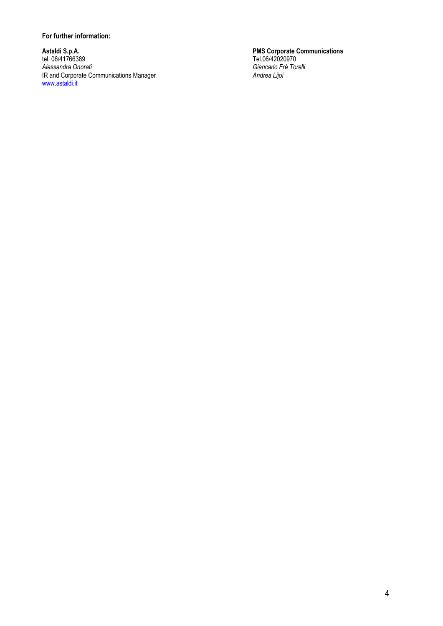#### For further information:

Astaldi S.p.A. PMS Corporate Communications tel. 06/41766389 Tel.06/42020970 Astaldi S.p.A.<br>
tel. 06/41766389<br>
Alessandra Onorati Giancarlo Frè Torelli<br>
IR and Corporate Communications Manager<br>
Giancarlo Frè Torelli<br>
Andrea Lijoi<br>
Andrea Lijoi IR and Corporate Communications Manager Andrea Lijoin Andrea Lijoin www.astaldi.it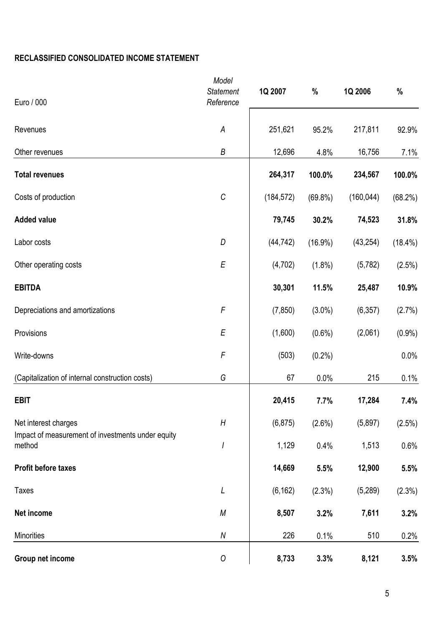### RECLASSIFIED CONSOLIDATED INCOME STATEMENT

| Euro / 000                                                  | Model<br><b>Statement</b><br>Reference | 1Q 2007    | $\%$       | 1Q 2006    | $\%$       |
|-------------------------------------------------------------|----------------------------------------|------------|------------|------------|------------|
| Revenues                                                    | A                                      | 251,621    | 95.2%      | 217,811    | 92.9%      |
| Other revenues                                              | $\boldsymbol{B}$                       | 12,696     | 4.8%       | 16,756     | 7.1%       |
| <b>Total revenues</b>                                       |                                        | 264,317    | 100.0%     | 234,567    | 100.0%     |
| Costs of production                                         | $\cal C$                               | (184, 572) | $(69.8\%)$ | (160, 044) | (68.2%)    |
| <b>Added value</b>                                          |                                        | 79,745     | 30.2%      | 74,523     | 31.8%      |
| Labor costs                                                 | D                                      | (44, 742)  | $(16.9\%)$ | (43, 254)  | $(18.4\%)$ |
| Other operating costs                                       | E                                      | (4,702)    | $(1.8\%)$  | (5, 782)   | (2.5%)     |
| <b>EBITDA</b>                                               |                                        | 30,301     | 11.5%      | 25,487     | 10.9%      |
| Depreciations and amortizations                             | F                                      | (7, 850)   | $(3.0\%)$  | (6, 357)   | (2.7%)     |
| Provisions                                                  | E                                      | (1,600)    | $(0.6\%)$  | (2,061)    | $(0.9\%)$  |
| Write-downs                                                 | $\digamma$                             | (503)      | $(0.2\%)$  |            | 0.0%       |
| (Capitalization of internal construction costs)             | G                                      | 67         | 0.0%       | 215        | 0.1%       |
| <b>EBIT</b>                                                 |                                        | 20,415     | 7.7%       | 17,284     | 7.4%       |
| Net interest charges                                        | H                                      | (6, 875)   | (2.6%)     | (5,897)    | (2.5%)     |
| Impact of measurement of investments under equity<br>method | I                                      | 1,129      | 0.4%       | 1,513      | 0.6%       |
| <b>Profit before taxes</b>                                  |                                        | 14,669     | 5.5%       | 12,900     | 5.5%       |
| <b>Taxes</b>                                                | $\cal L$                               | (6, 162)   | (2.3%)     | (5,289)    | (2.3%)     |
| Net income                                                  | $\boldsymbol{M}$                       | 8,507      | 3.2%       | 7,611      | 3.2%       |
| <b>Minorities</b>                                           | ${\cal N}$                             | 226        | 0.1%       | 510        | 0.2%       |
| Group net income                                            | ${\cal O}$                             | 8,733      | 3.3%       | 8,121      | 3.5%       |